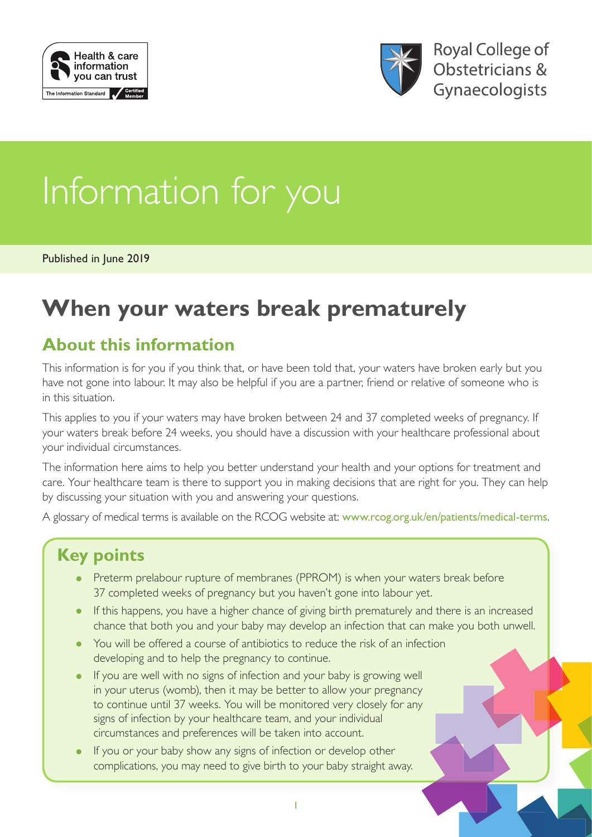



# Information for you

Published in June 2019

## **When your waters break prematurely**

## **About this information**

This information is for you if you think that, or have been told that, your waters have broken early but you have not gone into labour. It may also be helpful if you are a partner, friend or relative of someone who is in this situation.

This applies to you if your waters may have broken between 24 and 37 completed weeks of pregnancy. If your waters break before 24 weeks, you should have a discussion with your healthcare professional about your individual circumstances.

The information here aims to help you better understand your health and your options for treatment and care. Your healthcare team is there to support you in making decisions that are right for you. They can help by discussing your situation with you and answering your questions.

A glossary of medical terms is available on the RCOG website at: [www.rcog.org.uk/en/patients/medical-terms](https://www.rcog.org.uk/en/patients/medical-terms).

## **Key points**

- Preterm prelabour rupture of membranes (PPROM) is when your waters break before 37 completed weeks of pregnancy but you haven't gone into labour yet.
- If this happens, you have a higher chance of giving birth prematurely and there is an increased chance that both you and your baby may develop an infection that can make you both unwell.
- You will be offered a course of antibiotics to reduce the risk of an infection developing and to help the pregnancy to continue.
- If you are well with no signs of infection and your baby is growing well in your uterus (womb), then it may be better to allow your pregnancy to continue until 37 weeks. You will be monitored very closely for any signs of infection by your healthcare team, and your individual circumstances and preferences will be taken into account.
- If you or your baby show any signs of infection or develop other complications, you may need to give birth to your baby straight away.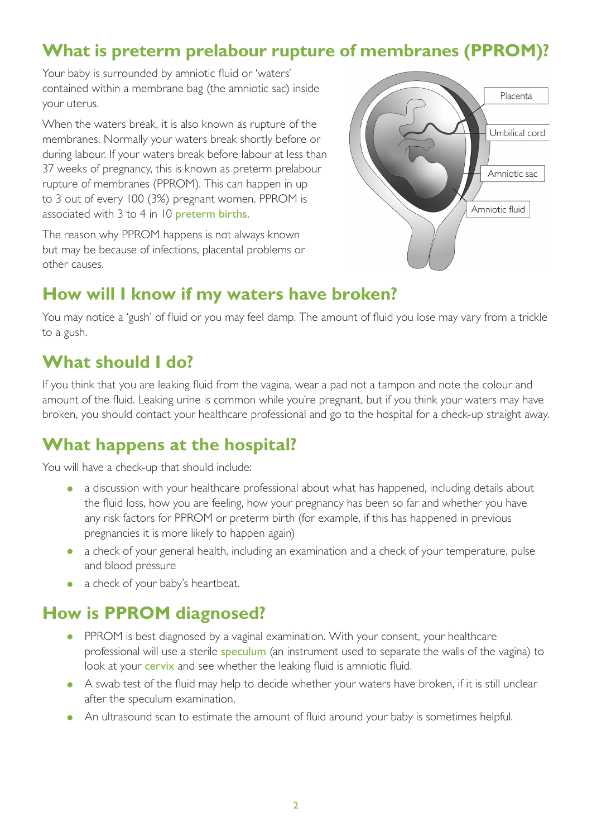## **What is preterm prelabour rupture of membranes (PPROM)?**

Your baby is surrounded by amniotic fluid or 'waters' contained within a membrane bag (the amniotic sac) inside your uterus.

When the waters break, it is also known as rupture of the membranes. Normally your waters break shortly before or during labour. If your waters break before labour at less than 37 weeks of pregnancy, this is known as preterm prelabour rupture of membranes (PPROM). This can happen in up to 3 out of every 100 (3%) pregnant women. PPROM is associated with 3 to 4 in 10 [preterm births](https://www.rcog.org.uk/en/patients/medical-terms#p).

The reason why PPROM happens is not always known but may be because of infections, placental problems or other causes.



## **How will I know if my waters have broken?**

You may notice a 'gush' of fluid or you may feel damp. The amount of fluid you lose may vary from a trickle to a gush.

## **What should I do?**

If you think that you are leaking fluid from the vagina, wear a pad not a tampon and note the colour and amount of the fluid. Leaking urine is common while you're pregnant, but if you think your waters may have broken, you should contact your healthcare professional and go to the hospital for a check-up straight away.

## **What happens at the hospital?**

You will have a check-up that should include:

- a discussion with your healthcare professional about what has happened, including details about the fluid loss, how you are feeling, how your pregnancy has been so far and whether you have any risk factors for PPROM or preterm birth (for example, if this has happened in previous pregnancies it is more likely to happen again)
- a check of your general health, including an examination and a check of your temperature, pulse and blood pressure
- a check of your baby's heartbeat.

## **How is PPROM diagnosed?**

- PPROM is best diagnosed by a vaginal examination. With your consent, your healthcare professional will use a sterile [speculum](https://www.rcog.org.uk/en/patients/medical-terms/#speculum) (an instrument used to separate the walls of the vagina) to look at your **[cervix](https://www.rcog.org.uk/en/patients/medical-terms/#cervix)** and see whether the leaking fluid is amniotic fluid.
- A swab test of the fluid may help to decide whether your waters have broken, if it is still unclear after the speculum examination.
- An ultrasound scan to estimate the amount of fluid around your baby is sometimes helpful.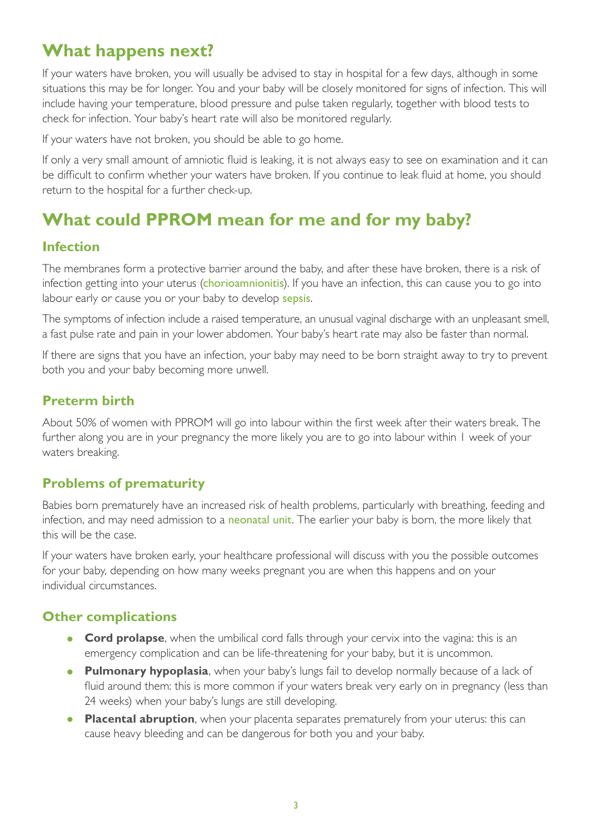## **What happens next?**

If your waters have broken, you will usually be advised to stay in hospital for a few days, although in some situations this may be for longer. You and your baby will be closely monitored for signs of infection. This will include having your temperature, blood pressure and pulse taken regularly, together with blood tests to check for infection. Your baby's heart rate will also be monitored regularly.

If your waters have not broken, you should be able to go home.

If only a very small amount of amniotic fluid is leaking, it is not always easy to see on examination and it can be difficult to confirm whether your waters have broken. If you continue to leak fluid at home, you should return to the hospital for a further check-up.

## **What could PPROM mean for me and for my baby?**

#### **Infection**

The membranes form a protective barrier around the baby, and after these have broken, there is a risk of infection getting into your uterus ([chorioamnionitis](https://www.rcog.org.uk/en/patients/medical-terms/#chorioamnionitis)). If you have an infection, this can cause you to go into labour early or cause you or your baby to develop [sepsis](https://www.rcog.org.uk/en/patients/medical-terms#sepsis).

The symptoms of infection include a raised temperature, an unusual vaginal discharge with an unpleasant smell, a fast pulse rate and pain in your lower abdomen. Your baby's heart rate may also be faster than normal.

If there are signs that you have an infection, your baby may need to be born straight away to try to prevent both you and your baby becoming more unwell.

#### **Preterm birth**

About 50% of women with PPROM will go into labour within the first week after their waters break. The further along you are in your pregnancy the more likely you are to go into labour within 1 week of your waters breaking.

#### **Problems of prematurity**

Babies born prematurely have an increased risk of health problems, particularly with breathing, feeding and infection, and may need admission to a [neonatal unit](https://www.rcog.org.uk/en/patients/medical-terms/#n). The earlier your baby is born, the more likely that this will be the case.

If your waters have broken early, your healthcare professional will discuss with you the possible outcomes for your baby, depending on how many weeks pregnant you are when this happens and on your individual circumstances.

#### **Other complications**

- **Cord prolapse**, when the umbilical cord falls through your cervix into the vagina: this is an emergency complication and can be life-threatening for your baby, but it is uncommon.
- **Pulmonary hypoplasia**, when your baby's lungs fail to develop normally because of a lack of fluid around them: this is more common if your waters break very early on in pregnancy (less than 24 weeks) when your baby's lungs are still developing.
- **Placental abruption**, when your placenta separates prematurely from your uterus: this can cause heavy bleeding and can be dangerous for both you and your baby.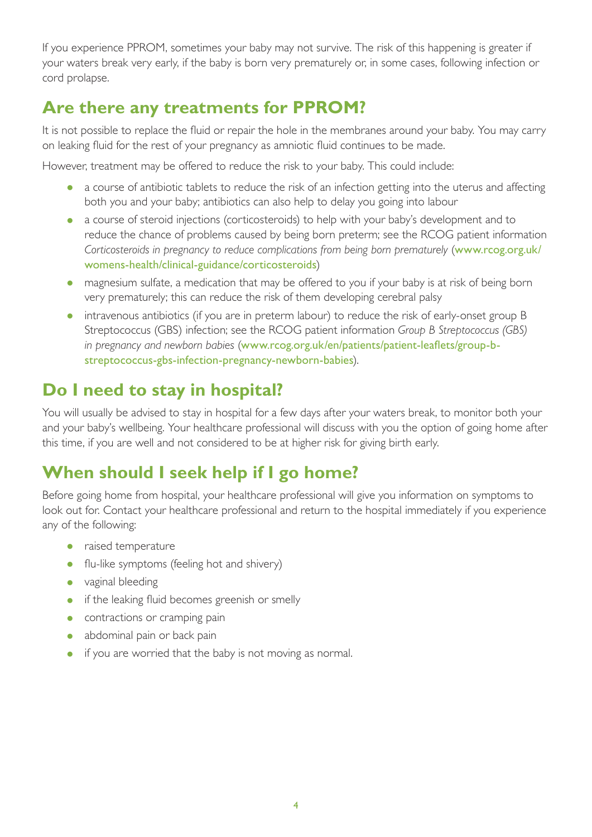If you experience PPROM, sometimes your baby may not survive. The risk of this happening is greater if your waters break very early, if the baby is born very prematurely or, in some cases, following infection or cord prolapse.

## **Are there any treatments for PPROM?**

It is not possible to replace the fluid or repair the hole in the membranes around your baby. You may carry on leaking fluid for the rest of your pregnancy as amniotic fluid continues to be made.

However, treatment may be offered to reduce the risk to your baby. This could include:

- a course of antibiotic tablets to reduce the risk of an infection getting into the uterus and affecting both you and your baby; antibiotics can also help to delay you going into labour
- a course of steroid injections (corticosteroids) to help with your baby's development and to reduce the chance of problems caused by being born preterm; see the RCOG patient information *Corticosteroids in pregnancy to reduce complications from being born prematurely* ([www.rcog.org.uk/](http://www.rcog.org.uk/womens-health/clinical-guidance/corticosteroids) [womens-health/clinical-guidance/corticosteroids](http://www.rcog.org.uk/womens-health/clinical-guidance/corticosteroids))
- magnesium sulfate, a medication that may be offered to you if your baby is at risk of being born very prematurely; this can reduce the risk of them developing cerebral palsy
- intravenous antibiotics (if you are in preterm labour) to reduce the risk of early-onset group B Streptococcus (GBS) infection; see the RCOG patient information *Group B Streptococcus (GBS) in pregnancy and newborn babies* ([www.rcog.org.uk/en/patients/patient-leaflets/group-b](https://www.rcog.org.uk/en/patients/patient-leaflets/group-b-streptococcus-gbs-infection-pregnancy-newborn-babies)[streptococcus-gbs-infection-pregnancy-newborn-babies](https://www.rcog.org.uk/en/patients/patient-leaflets/group-b-streptococcus-gbs-infection-pregnancy-newborn-babies)).

## **Do I need to stay in hospital?**

You will usually be advised to stay in hospital for a few days after your waters break, to monitor both your and your baby's wellbeing. Your healthcare professional will discuss with you the option of going home after this time, if you are well and not considered to be at higher risk for giving birth early.

## **When should I seek help if I go home?**

Before going home from hospital, your healthcare professional will give you information on symptoms to look out for. Contact your healthcare professional and return to the hospital immediately if you experience any of the following:

- raised temperature
- flu-like symptoms (feeling hot and shivery)
- vaginal bleeding
- if the leaking fluid becomes greenish or smelly
- contractions or cramping pain
- abdominal pain or back pain
- if you are worried that the baby is not moving as normal.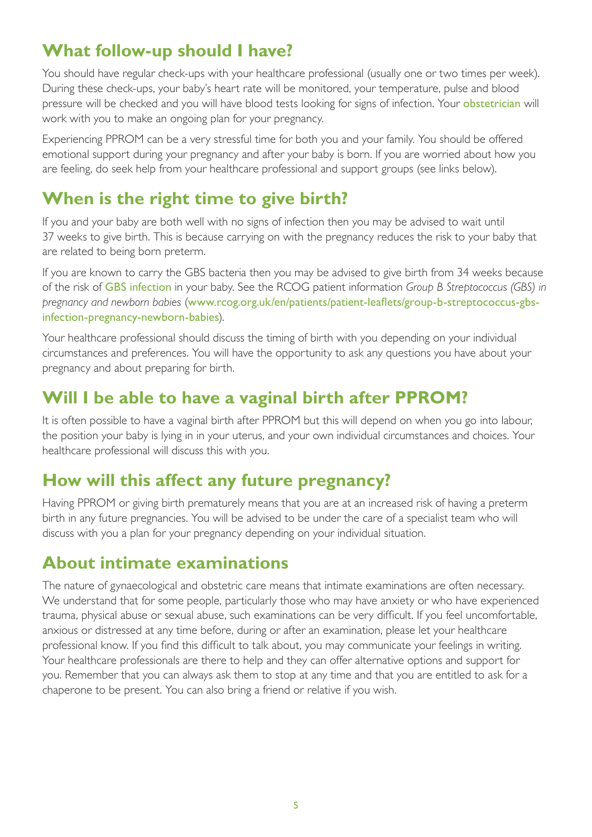## **What follow-up should I have?**

You should have regular check-ups with your healthcare professional (usually one or two times per week). During these check-ups, your baby's heart rate will be monitored, your temperature, pulse and blood pressure will be checked and you will have blood tests looking for signs of infection. Your [obstetrician](https://www.rcog.org.uk/en/patients/medical-terms/#o) will work with you to make an ongoing plan for your pregnancy.

Experiencing PPROM can be a very stressful time for both you and your family. You should be offered emotional support during your pregnancy and after your baby is born. If you are worried about how you are feeling, do seek help from your healthcare professional and support groups (see links below).

## **When is the right time to give birth?**

If you and your baby are both well with no signs of infection then you may be advised to wait until 37 weeks to give birth. This is because carrying on with the pregnancy reduces the risk to your baby that are related to being born preterm.

If you are known to carry the GBS bacteria then you may be advised to give birth from 34 weeks because of the risk of [GBS infection](https://www.rcog.org.uk/en/patients/medical-terms#g) in your baby. See the RCOG patient information *Group B Streptococcus (GBS) in pregnancy and newborn babies* ([www.rcog.org.uk/en/patients/patient-leaflets/group-b-streptococcus-gbs](https://www.rcog.org.uk/en/patients/patient-leaflets/group-b-streptococcus-gbs-infection-pregnancy-newborn-babies)[infection-pregnancy-newborn-babies](https://www.rcog.org.uk/en/patients/patient-leaflets/group-b-streptococcus-gbs-infection-pregnancy-newborn-babies)).

Your healthcare professional should discuss the timing of birth with you depending on your individual circumstances and preferences. You will have the opportunity to ask any questions you have about your pregnancy and about preparing for birth.

## **Will I be able to have a vaginal birth after PPROM?**

It is often possible to have a vaginal birth after PPROM but this will depend on when you go into labour, the position your baby is lying in in your uterus, and your own individual circumstances and choices. Your healthcare professional will discuss this with you.

## **How will this affect any future pregnancy?**

Having PPROM or giving birth prematurely means that you are at an increased risk of having a preterm birth in any future pregnancies. You will be advised to be under the care of a specialist team who will discuss with you a plan for your pregnancy depending on your individual situation.

### **About intimate examinations**

The nature of gynaecological and obstetric care means that intimate examinations are often necessary. We understand that for some people, particularly those who may have anxiety or who have experienced trauma, physical abuse or sexual abuse, such examinations can be very difficult. If you feel uncomfortable, anxious or distressed at any time before, during or after an examination, please let your healthcare professional know. If you find this difficult to talk about, you may communicate your feelings in writing. Your healthcare professionals are there to help and they can offer alternative options and support for you. Remember that you can always ask them to stop at any time and that you are entitled to ask for a chaperone to be present. You can also bring a friend or relative if you wish.